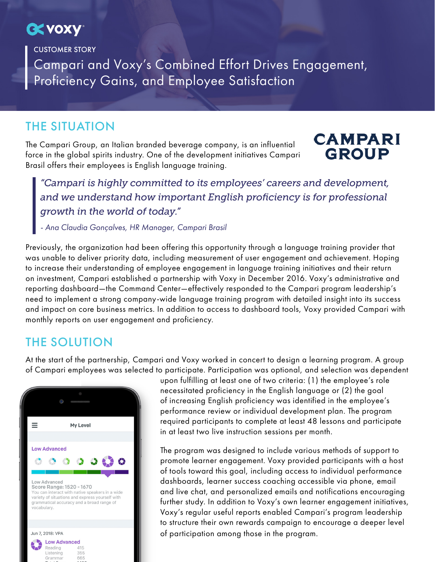# **CK VOXY**

CUSTOMER STORY

Campari and Voxy's Combined Effort Drives Engagement, Proficiency Gains, and Employee Satisfaction

#### THE SITUATION

The Campari Group, an Italian branded beverage company, is an influential force in the global spirits industry. One of the development initiatives Campari Brasil offers their employees is English language training.

### **CAMPARI GROUP**

*"Campari is highly committed to its employees' careers and development, and we understand how important English proficiency is for professional growth in the world of today."*

*- Ana Claudia Gonçalves, HR Manager, Campari Brasil*

Previously, the organization had been offering this opportunity through a language training provider that was unable to deliver priority data, including measurement of user engagement and achievement. Hoping to increase their understanding of employee engagement in language training initiatives and their return on investment, Campari established a partnership with Voxy in December 2016. Voxy's administrative and reporting dashboard—the Command Center—effectively responded to the Campari program leadership's need to implement a strong company-wide language training program with detailed insight into its success and impact on core business metrics. In addition to access to dashboard tools, Voxy provided Campari with monthly reports on user engagement and proficiency.

#### THE SOLUTION

At the start of the partnership, Campari and Voxy worked in concert to design a learning program. A group of Campari employees was selected to participate. Participation was optional, and selection was dependent



upon fulfilling at least one of two criteria: (1) the employee's role necessitated proficiency in the English language or (2) the goal of increasing English proficiency was identified in the employee's performance review or individual development plan. The program required participants to complete at least 48 lessons and participate in at least two live instruction sessions per month.

The program was designed to include various methods of support to promote learner engagement. Voxy provided participants with a host of tools toward this goal, including access to individual performance dashboards, learner success coaching accessible via phone, email and live chat, and personalized emails and notifications encouraging further study. In addition to Voxy's own learner engagement initiatives, Voxy's regular useful reports enabled Campari's program leadership to structure their own rewards campaign to encourage a deeper level of participation among those in the program.